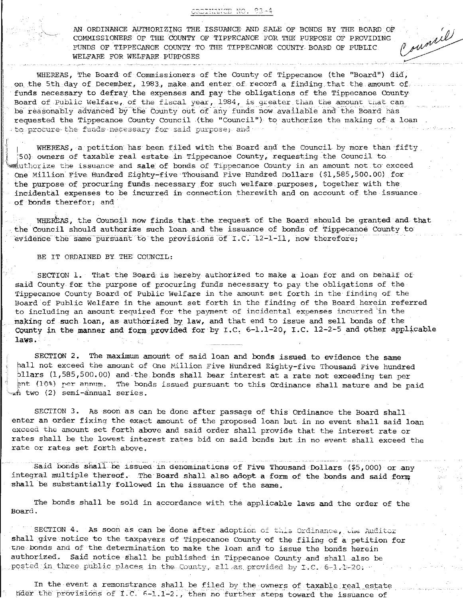AN ORDINANCE AUTHORIZING THE ISSUANCE AND SALE OF BONDS BY THE BOARD OF COMMISSIONERS OF THE COUNTY OF TIPPECANOE FOR THE PURPOSE OF PROVIDING FUNDS OF TIPPECANOE COUNTY TO THE TIPPECANOE COUNTY BOARD OF PUBLIC WELFARE FOR WELFARE PURPOSES

sumil

WHEREAS, The Board of Commissioners of the County of Tippecanoe (the "Board") did, on the 5th day of December, 1983, make and enter of record a finding that the amount of funds necessary to defray the expenses and pay the obligations of the Tippecanoe County Board of Public Welfare, of the fiscal year, 1984, is greater than the amount that can be reasonably advanced by the County out of any funds now available and the Board has requested the Tippecanoe County Council (the "Council") to authorize the making of a loan  $\epsilon$  to produre the funds necessary for said purpose; and  $\cdots$ 

WHEREAS, a petition has been filed with the Board and the Council by more than fifty 50) owners of taxable real estate in Tippecanoe County, requesting the Council to the ize the issuance and sale of bonds of Tippecanoe County in an amount not to exceed One Million Five Hundred Eighty-five Thousand Five Hundred Dollars (\$1,585,500.00) for the purpose of procuring funds necessary for such welfare purposes, together with the incidental expenses to be incurred in connection therewith and on account of the issuance. of bonds therefor; and

WHEREAS, the Council now finds that the request of the Board should be granted and that the Council should authorize such loan and the issuance of bonds of Tippecanoe County to evidence the same pursuant to the provisions of I.C. 12-1-11, now therefore;

## BE IT ORDAINED BY THE COUNCIL:

SECTION 1. That the Board is hereby authorized to make a loan for and on behalf of said County for the purpose of procuring funds necessary to pay the obligations of the Tippecanoe County Board of Public Welfare in the amount set forth in the finding of the Board of Public Welfare in the amount set forth in the finding of the Board herein referred to including an amount required for the payment of incidental expenses incurred in the making of such loan, as authorized by law, and that end to issue and sell bonds of the County in the manner and form provided for by I.C. 6-1.1-20, I.C. 12-2-5 and other applicable laws.

SECTION 2. The maximum amount of said loan and bonds issued to evidence the same hall not exceed the amount of One Million Five Hundred Eighty-five Thousand Five hundred bllars (1,585,500.00) and the bonds shall bear interest at a rate not exceeding ten per ent (10%) per annum. The bonds issued pursuant to this Ordinance shall mature and be paid m two (2) semi-annual series.

SECTION 3. As soon as can be done after passage of this Ordinance the Board shall enter an order fixing the exact amount of the proposed loan but in no event shall said loan exceed the amount set forth above and said order shall provide that the interest rate or rates shall be the lowest interest rates bid on said bonds but in no event shall exceed the rate or rates set forth above.

Said bonds shall be issued in denominations of Five Thousand Dollars (\$5,000) or any integral multiple thereof. The Board shall also adopt a form of the bonds and said form shall be substantially followed in the issuance of the same.

The bonds shall be sold in accordance with the applicable laws and the order of the Board.

SECTION 4. As soon as can be done after adoption of this Ordinance, the Auditor shall give notice to the taxpayers of Tippecanoe County of the filing of a petition for the bonds and of the determination to make the loan and to issue the bonds herein authorized. Said notice shall be published in Tippecanoe County and shall also be posted in three public places in the County, all as provided by I.C. 6-1.1-20.

In the event a remonstrance shall be filed by the owners of taxable real estate nder the provisions of I.C. 6-1.1-2., then no further steps toward the issuance of